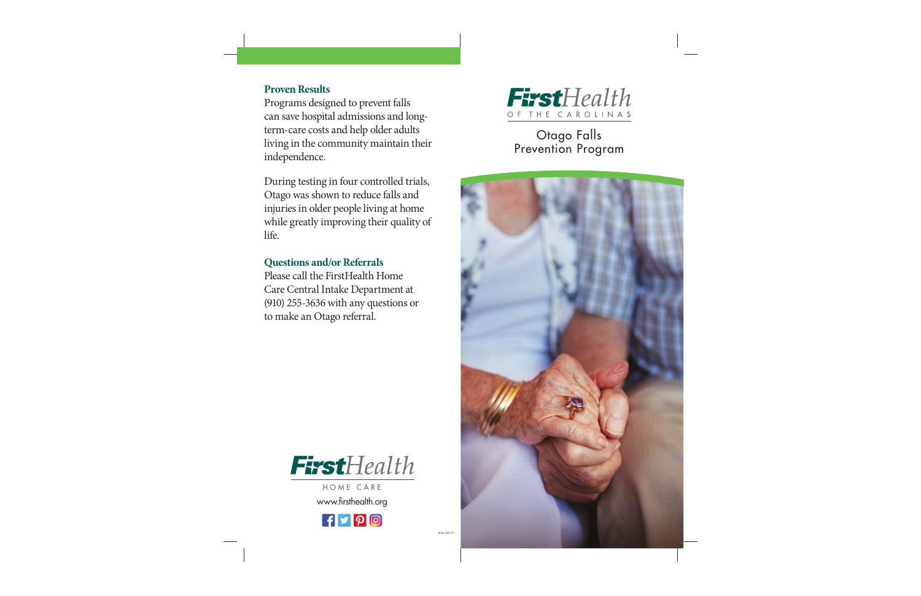

415-132-17



Otago Falls Prevention Program



## **Proven Results**

Programs designed to prevent falls can save hospital admissions and longterm-care costs and help older adults living in the community maintain their independence.

During testing in four controlled trials, Otago was shown to reduce falls and injuries in older people living at home while greatly improving their quality of life.

# **Questions and/or Referrals**

Please call the FirstHealth Home Care Central Intake Department at (910) 255-3636 with any questions or to make an Otago referral.